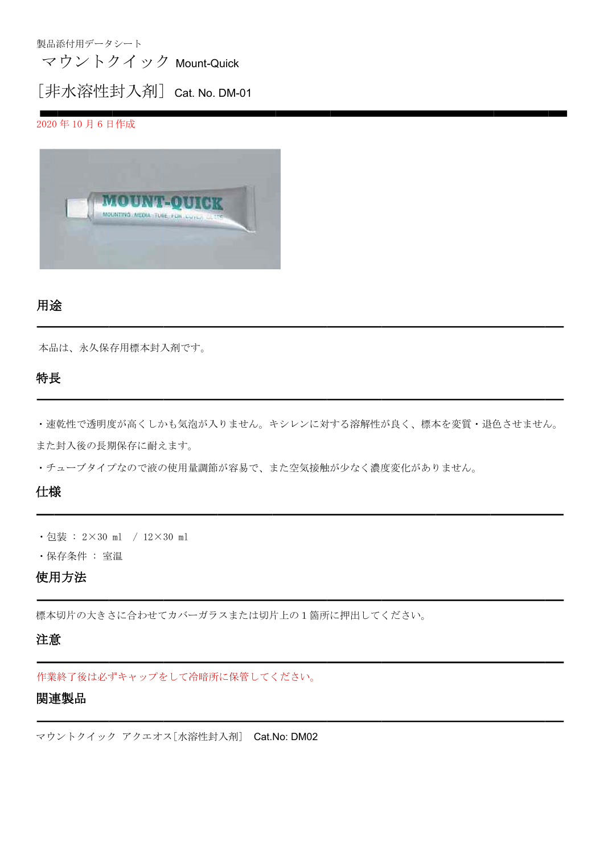製品添付用データシート

マウントクイック Mount-Quick

## [非水溶性封入剤] Cat. No. DM-01

2020 年 10 月 6 日作成



## 用途

本品は、永久保存用標本封入剤です。

## 特長

・速乾性で透明度が高くしかも気泡が入りません。キシレンに対する溶解性が良く、標本を変質・退色させません。 また封入後の長期保存に耐えます。

i.

・チューブタイプなので液の使用量調節が容易で、また空気接触が少なく濃度変化がありません。

## 仕様

- ・包装 : 2×30 ml / 12×30 ml
- ・保存条件 : 室温

## 使用方法

標本切片の大きさに合わせてカバーガラスまたは切片上の1箇所に押出してください。

#### 注意

作業終了後は必ずキャップをして冷暗所に保管してください。

## 関連製品

マウントクイック アクエオス[水溶性封入剤] Cat.No: DM02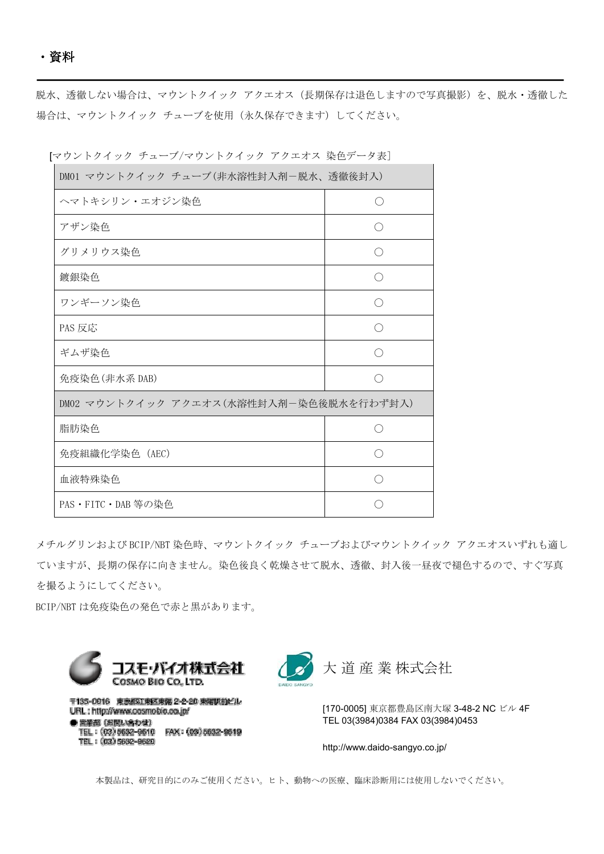脱水、透徹しない場合は、マウントクイック アクエオス(長期保存は退色しますので写真撮影)を、脱水・透徹した 場合は、マウントクイック チューブを使用(永久保存できます)してください。

| DM01 マウントクイック チューブ(非水溶性封入剤ー脱水、透徹後封入)    |  |  |
|-----------------------------------------|--|--|
| ヘマトキシリン・エオジン染色                          |  |  |
| アザン染色                                   |  |  |
| グリメリウス染色                                |  |  |
| 鍍銀染色                                    |  |  |
| ワンギーソン染色                                |  |  |
| PAS 反応                                  |  |  |
| ギムザ染色                                   |  |  |
| 免疫染色(非水系 DAB)                           |  |  |
| DM02 マウントクイック アクエオス(水溶性封入剤-染色後脱水を行わず封入) |  |  |
| 脂肪染色                                    |  |  |
| 免疫組織化学染色 (AEC)                          |  |  |
| 血液特殊染色                                  |  |  |
| PAS・FITC・DAB 等の染色                       |  |  |

[マウントクイック チューブ/マウントクイック アクエオス 染色データ表]

メチルグリンおよび BCIP/NBT 染色時、マウントクイック チューブおよびマウントクイック アクエオスいずれも適し ていますが、長期の保存に向きません。染色後良く乾燥させて脱水、透徹、封入後一昼夜で褪色するので、すぐ写真 を撮るようにしてください。

BCIP/NBT は免疫染色の発色で赤と黒があります。

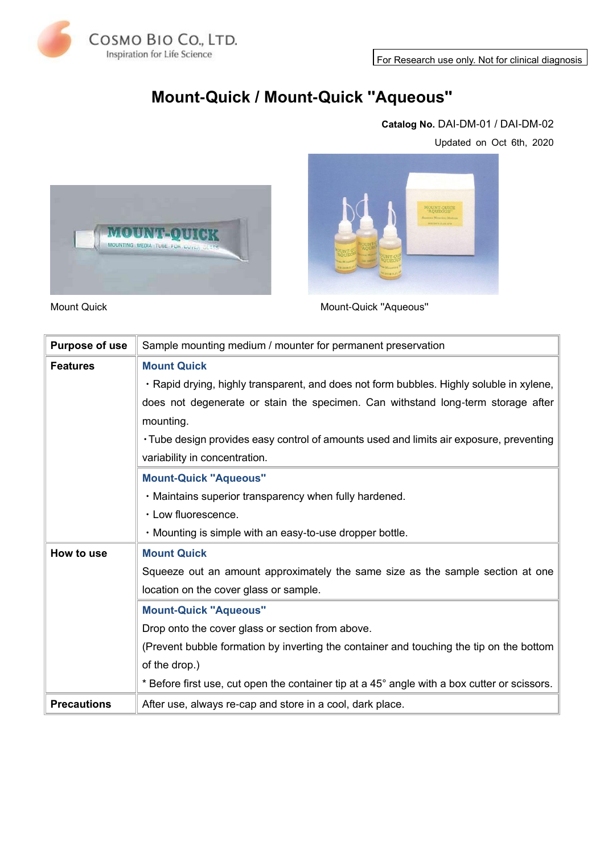For Research use only. Not for clinical diagnosis



# **Mount-Quick / Mount-Quick ''Aqueous''**

#### **Catalog No.** DAI-DM-01 / DAI-DM-02

Updated on Oct 6th, 2020





Mount Quick Controller Controller Mount-Quick "Aqueous"

| <b>Purpose of use</b> | Sample mounting medium / mounter for permanent preservation                                  |
|-----------------------|----------------------------------------------------------------------------------------------|
| <b>Features</b>       | <b>Mount Quick</b>                                                                           |
|                       | · Rapid drying, highly transparent, and does not form bubbles. Highly soluble in xylene,     |
|                       | does not degenerate or stain the specimen. Can withstand long-term storage after             |
|                       | mounting.                                                                                    |
|                       | • Tube design provides easy control of amounts used and limits air exposure, preventing      |
|                       | variability in concentration.                                                                |
|                       | <b>Mount-Quick "Aqueous"</b>                                                                 |
|                       | . Maintains superior transparency when fully hardened.                                       |
|                       | • Low fluorescence.                                                                          |
|                       | . Mounting is simple with an easy-to-use dropper bottle.                                     |
| How to use            | <b>Mount Quick</b>                                                                           |
|                       | Squeeze out an amount approximately the same size as the sample section at one               |
|                       | location on the cover glass or sample.                                                       |
|                       | <b>Mount-Quick "Aqueous"</b>                                                                 |
|                       | Drop onto the cover glass or section from above.                                             |
|                       | (Prevent bubble formation by inverting the container and touching the tip on the bottom      |
|                       | of the drop.)                                                                                |
|                       | * Before first use, cut open the container tip at a 45° angle with a box cutter or scissors. |
| <b>Precautions</b>    | After use, always re-cap and store in a cool, dark place.                                    |